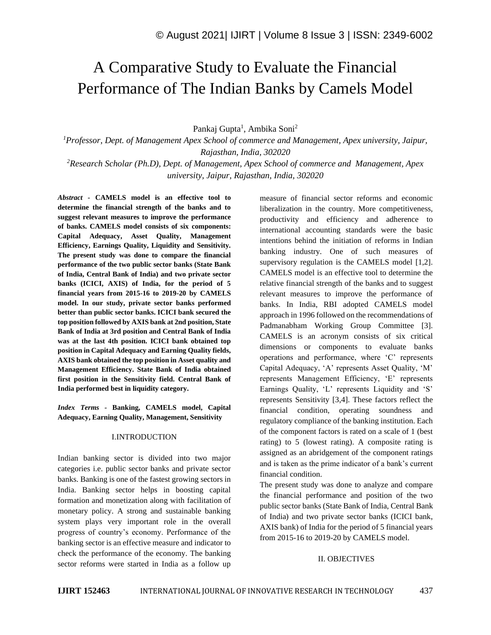# A Comparative Study to Evaluate the Financial Performance of The Indian Banks by Camels Model

Pankaj Gupta<sup>1</sup>, Ambika Soni<sup>2</sup>

*<sup>1</sup>Professor, Dept. of Management Apex School of commerce and Management, Apex university, Jaipur, Rajasthan, India, 302020*

*<sup>2</sup>Research Scholar (Ph.D), Dept. of Management, Apex School of commerce and Management, Apex university, Jaipur, Rajasthan, India, 302020*

*Abstract -* **CAMELS model is an effective tool to determine the financial strength of the banks and to suggest relevant measures to improve the performance of banks. CAMELS model consists of six components: Capital Adequacy, Asset Quality, Management Efficiency, Earnings Quality, Liquidity and Sensitivity. The present study was done to compare the financial performance of the two public sector banks (State Bank of India, Central Bank of India) and two private sector banks (ICICI, AXIS) of India, for the period of 5 financial years from 2015-16 to 2019-20 by CAMELS model. In our study, private sector banks performed better than public sector banks. ICICI bank secured the top position followed by AXIS bank at 2nd position, State Bank of India at 3rd position and Central Bank of India was at the last 4th position. ICICI bank obtained top position in Capital Adequacy and Earning Quality fields, AXIS bank obtained the top position in Asset quality and Management Efficiency. State Bank of India obtained first position in the Sensitivity field. Central Bank of India performed best in liquidity category.**

*Index Terms -* **Banking, CAMELS model, Capital Adequacy, Earning Quality, Management, Sensitivity**

#### I.INTRODUCTION

Indian banking sector is divided into two major categories i.e. public sector banks and private sector banks. Banking is one of the fastest growing sectors in India. Banking sector helps in boosting capital formation and monetization along with facilitation of monetary policy. A strong and sustainable banking system plays very important role in the overall progress of country's economy. Performance of the banking sector is an effective measure and indicator to check the performance of the economy. The banking sector reforms were started in India as a follow up

measure of financial sector reforms and economic liberalization in the country. More competitiveness, productivity and efficiency and adherence to international accounting standards were the basic intentions behind the initiation of reforms in Indian banking industry. One of such measures of supervisory regulation is the CAMELS model [1,2]. CAMELS model is an effective tool to determine the relative financial strength of the banks and to suggest relevant measures to improve the performance of banks. In India, RBI adopted CAMELS model approach in 1996 followed on the recommendations of Padmanabham Working Group Committee [3]. CAMELS is an acronym consists of six critical dimensions or components to evaluate banks operations and performance, where 'C' represents Capital Adequacy, 'A' represents Asset Quality, 'M' represents Management Efficiency, 'E' represents Earnings Quality, 'L' represents Liquidity and 'S' represents Sensitivity [3,4]. These factors reflect the financial condition, operating soundness and regulatory compliance of the banking institution. Each of the component factors is rated on a scale of 1 (best rating) to 5 (lowest rating). A composite rating is assigned as an abridgement of the component ratings and is taken as the prime indicator of a bank's current financial condition.

The present study was done to analyze and compare the financial performance and position of the two public sector banks (State Bank of India, Central Bank of India) and two private sector banks (ICICI bank, AXIS bank) of India for the period of 5 financial years from 2015-16 to 2019-20 by CAMELS model.

#### II. OBJECTIVES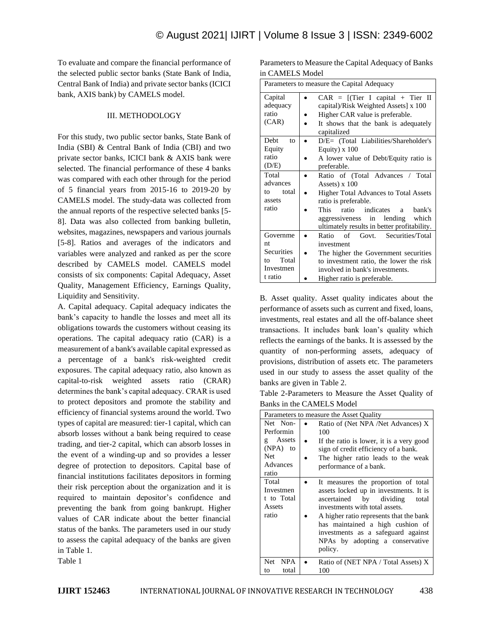To evaluate and compare the financial performance of the selected public sector banks (State Bank of India, Central Bank of India) and private sector banks (ICICI bank, AXIS bank) by CAMELS model.

# III. METHODOLOGY

For this study, two public sector banks, State Bank of India (SBI) & Central Bank of India (CBI) and two private sector banks, ICICI bank & AXIS bank were selected. The financial performance of these 4 banks was compared with each other through for the period of 5 financial years from 2015-16 to 2019-20 by CAMELS model. The study-data was collected from the annual reports of the respective selected banks [5- 8]. Data was also collected from banking bulletin, websites, magazines, newspapers and various journals [5-8]. Ratios and averages of the indicators and variables were analyzed and ranked as per the score described by CAMELS model. CAMELS model consists of six components: Capital Adequacy, Asset Quality, Management Efficiency, Earnings Quality, Liquidity and Sensitivity.

A. Capital adequacy. Capital adequacy indicates the bank's capacity to handle the losses and meet all its obligations towards the customers without ceasing its operations. The capital adequacy ratio (CAR) is a measurement of a bank's available capital expressed as a percentage of a bank's risk-weighted credit exposures. The capital adequacy ratio, also known as capital-to-risk weighted assets ratio (CRAR) determines the bank's capital adequacy. CRAR is used to protect depositors and promote the stability and efficiency of financial systems around the world. Two types of capital are measured: tier-1 capital, which can absorb losses without a bank being required to cease trading, and tier-2 capital, which can absorb losses in the event of a winding-up and so provides a lesser degree of protection to depositors. Capital base of financial institutions facilitates depositors in forming their risk perception about the organization and it is required to maintain depositor's confidence and preventing the bank from going bankrupt. Higher values of CAR indicate about the better financial status of the banks. The parameters used in our study to assess the capital adequacy of the banks are given in Table 1.

| Parameters to Measure the Capital Adequacy of Banks |
|-----------------------------------------------------|
| in CAMELS Model                                     |

| ш САРИЕТЭ МОЛС                                                      |                                                                                                                                                                                                                                                           |  |  |  |  |  |  |
|---------------------------------------------------------------------|-----------------------------------------------------------------------------------------------------------------------------------------------------------------------------------------------------------------------------------------------------------|--|--|--|--|--|--|
|                                                                     | Parameters to measure the Capital Adequacy                                                                                                                                                                                                                |  |  |  |  |  |  |
| Capital<br>adequacy<br>ratio<br>(CAR)                               | $CAR = [(Tier I capital + Tier II$<br>capital)/Risk Weighted Assets] x 100<br>Higher CAR value is preferable.<br>It shows that the bank is adequately<br>capitalized                                                                                      |  |  |  |  |  |  |
| Debt<br>to<br>Equity<br>ratio<br>(D/E)                              | D/E= (Total Liabilities/Shareholder's<br>Equity) $x$ 100<br>A lower value of Debt/Equity ratio is<br>preferable.                                                                                                                                          |  |  |  |  |  |  |
| Total<br>advances<br>total<br>tΩ<br>assets<br>ratio                 | Ratio of (Total Advances / Total<br>Assets) x 100<br><b>Higher Total Advances to Total Assets</b><br>ratio is preferable.<br><b>This</b><br>ratio indicates a<br>bank's<br>aggressiveness in lending which<br>ultimately results in better profitability. |  |  |  |  |  |  |
| Governme<br>nt<br>Securities<br>Total<br>to<br>Investmen<br>t ratio | Govt. Securities/Total<br>of<br>Ratio<br>investment<br>The higher the Government securities<br>to investment ratio, the lower the risk<br>involved in bank's investments.<br>Higher ratio is preferable.                                                  |  |  |  |  |  |  |

B. Asset quality. Asset quality indicates about the performance of assets such as current and fixed, loans, investments, real estates and all the off-balance sheet transactions. It includes bank loan's quality which reflects the earnings of the banks. It is assessed by the quantity of non-performing assets, adequacy of provisions, distribution of assets etc. The parameters used in our study to assess the asset quality of the banks are given in Table 2.

Table 2-Parameters to Measure the Asset Quality of Banks in the CAMELS Model

|                                                                                      | Parameters to measure the Asset Quality                                                                                                                                                                                                                                                                                |
|--------------------------------------------------------------------------------------|------------------------------------------------------------------------------------------------------------------------------------------------------------------------------------------------------------------------------------------------------------------------------------------------------------------------|
| Net Non-<br>Performin<br>Assets<br>ō.<br>(NPA) to<br><b>Net</b><br>Advances<br>ratio | Ratio of (Net NPA /Net Advances) X<br>100<br>If the ratio is lower, it is a very good<br>sign of credit efficiency of a bank.<br>The higher ratio leads to the weak<br>performance of a bank.                                                                                                                          |
| Total<br>Investmen<br>t to Total<br>Assets<br>ratio                                  | It measures the proportion of total<br>assets locked up in investments. It is<br>ascertained by dividing<br>total<br>investments with total assets.<br>A higher ratio represents that the bank<br>has maintained a high cushion of<br>investments as a safeguard against<br>NPAs by adopting a conservative<br>policy. |
| <b>NPA</b><br>Net.<br>total<br>to                                                    | Ratio of (NET NPA / Total Assets) X<br>100                                                                                                                                                                                                                                                                             |

Table 1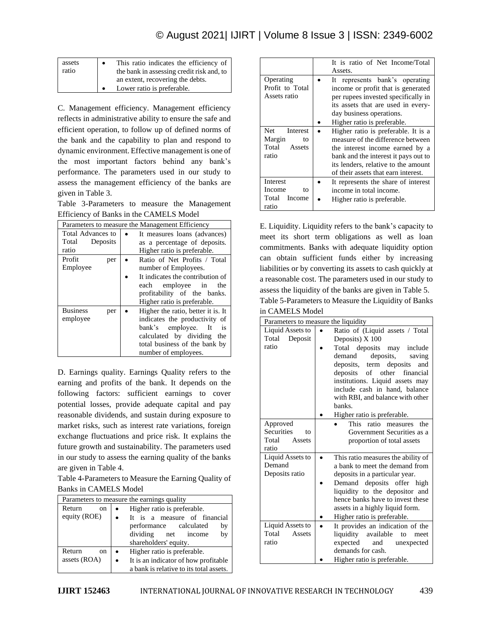# © August 2021| IJIRT | Volume 8 Issue 3 | ISSN: 2349-6002

| assets | This ratio indicates the efficiency of    |
|--------|-------------------------------------------|
| ratio  | the bank in assessing credit risk and, to |
|        | an extent, recovering the debts.          |
|        | Lower ratio is preferable.                |

C. Management efficiency. Management efficiency reflects in administrative ability to ensure the safe and efficient operation, to follow up of defined norms of the bank and the capability to plan and respond to dynamic environment. Effective management is one of the most important factors behind any bank's performance. The parameters used in our study to assess the management efficiency of the banks are given in Table 3.

Table 3-Parameters to measure the Management Efficiency of Banks in the CAMELS Model

| Parameters to measure the Management Efficiency |                                    |  |  |  |  |  |  |  |
|-------------------------------------------------|------------------------------------|--|--|--|--|--|--|--|
| Total Advances to                               | It measures loans (advances)       |  |  |  |  |  |  |  |
| Total<br>Deposits                               | as a percentage of deposits.       |  |  |  |  |  |  |  |
| ratio                                           | Higher ratio is preferable.        |  |  |  |  |  |  |  |
| Profit<br>per                                   | Ratio of Net Profits / Total       |  |  |  |  |  |  |  |
| Employee                                        | number of Employees.               |  |  |  |  |  |  |  |
|                                                 | It indicates the contribution of   |  |  |  |  |  |  |  |
|                                                 | employee in<br>each<br>the         |  |  |  |  |  |  |  |
|                                                 | profitability of the banks.        |  |  |  |  |  |  |  |
|                                                 | Higher ratio is preferable.        |  |  |  |  |  |  |  |
| <b>Business</b><br>per                          | Higher the ratio, better it is. It |  |  |  |  |  |  |  |
| employee                                        | indicates the productivity of      |  |  |  |  |  |  |  |
|                                                 | bank's employee.<br>- It<br>is     |  |  |  |  |  |  |  |
|                                                 | calculated by dividing<br>the      |  |  |  |  |  |  |  |
|                                                 | total business of the bank by      |  |  |  |  |  |  |  |
|                                                 | number of employees.               |  |  |  |  |  |  |  |

D. Earnings quality. Earnings Quality refers to the earning and profits of the bank. It depends on the following factors: sufficient earnings to cover potential losses, provide adequate capital and pay reasonable dividends, and sustain during exposure to market risks, such as interest rate variations, foreign exchange fluctuations and price risk. It explains the future growth and sustainability. The parameters used in our study to assess the earning quality of the banks are given in Table 4.

Table 4-Parameters to Measure the Earning Quality of Banks in CAMELS Model

| Parameters to measure the earnings quality |                                         |  |  |  |  |  |  |  |
|--------------------------------------------|-----------------------------------------|--|--|--|--|--|--|--|
| Return<br><sub>on</sub>                    | Higher ratio is preferable.             |  |  |  |  |  |  |  |
| equity (ROE)                               | It is a measure of financial            |  |  |  |  |  |  |  |
|                                            | performance calculated<br>by            |  |  |  |  |  |  |  |
|                                            | dividing net income<br>by               |  |  |  |  |  |  |  |
|                                            | shareholders' equity.                   |  |  |  |  |  |  |  |
| Return<br>on.                              | Higher ratio is preferable.             |  |  |  |  |  |  |  |
| assets (ROA)                               | It is an indicator of how profitable    |  |  |  |  |  |  |  |
|                                            | a bank is relative to its total assets. |  |  |  |  |  |  |  |

|                                                          | It is ratio of Net Income/Total<br>Assets.                                                                                                                                                                                        |
|----------------------------------------------------------|-----------------------------------------------------------------------------------------------------------------------------------------------------------------------------------------------------------------------------------|
| Operating<br>Profit to Total<br>Assets ratio             | It represents bank's operating<br>income or profit that is generated<br>per rupees invested specifically in<br>its assets that are used in every-<br>day business operations.                                                     |
|                                                          | Higher ratio is preferable.                                                                                                                                                                                                       |
| Net<br>Interest<br>Margin<br>to<br>Total Assets<br>ratio | Higher ratio is preferable. It is a<br>measure of the difference between<br>the interest income earned by a<br>bank and the interest it pays out to<br>its lenders, relative to the amount<br>of their assets that earn interest. |
| Interest<br>Income<br>to<br>Total Income<br>ratio        | It represents the share of interest<br>income in total income.<br>Higher ratio is preferable.                                                                                                                                     |

E. Liquidity. Liquidity refers to the bank's capacity to meet its short term obligations as well as loan commitments. Banks with adequate liquidity option can obtain sufficient funds either by increasing liabilities or by converting its assets to cash quickly at a reasonable cost. The parameters used in our study to assess the liquidity of the banks are given in Table 5. Table 5-Parameters to Measure the Liquidity of Banks

#### in CAMELS Model

|                                                                 | Parameters to measure the liquidity                                                                                                                                                                                                                                                                                                              |
|-----------------------------------------------------------------|--------------------------------------------------------------------------------------------------------------------------------------------------------------------------------------------------------------------------------------------------------------------------------------------------------------------------------------------------|
| Liquid Assets to<br>Total<br>Deposit<br>ratio                   | Ratio of (Liquid assets / Total<br>$\bullet$<br>Deposits) X 100<br>Total deposits may include<br>deposits,<br>demand<br>saving<br>deposits, term deposits and<br>of other financial<br>deposits<br>institutions. Liquid assets may<br>include cash in hand, balance<br>with RBI, and balance with other<br>banks.<br>Higher ratio is preferable. |
| Approved<br><b>Securities</b><br>tο<br>Total<br>Assets<br>ratio | This ratio measures<br>the<br>Government Securities as a<br>proportion of total assets                                                                                                                                                                                                                                                           |
| Liquid Assets to<br>Demand<br>Deposits ratio                    | This ratio measures the ability of<br>a bank to meet the demand from<br>deposits in a particular year.<br>Demand deposits offer high<br>liquidity to the depositor and<br>hence banks have to invest these<br>assets in a highly liquid form.<br>Higher ratio is preferable.                                                                     |
| Liquid Assets to<br>Total<br>Assets<br>ratio                    | It provides an indication of the<br>liquidity available<br>to<br>meet<br>expected<br>and<br>unexpected<br>demands for cash.<br>Higher ratio is preferable.                                                                                                                                                                                       |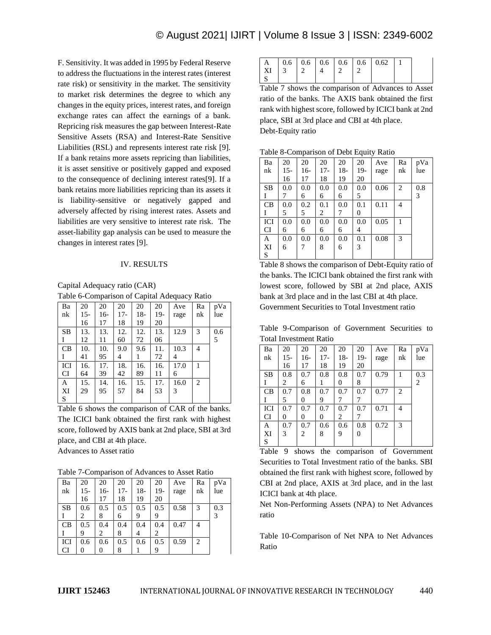F. Sensitivity. It was added in 1995 by Federal Reserve to address the fluctuations in the interest rates (interest rate risk) or sensitivity in the market. The sensitivity to market risk determines the degree to which any changes in the equity prices, interest rates, and foreign exchange rates can affect the earnings of a bank. Repricing risk measures the gap between Interest-Rate Sensitive Assets (RSA) and Interest-Rate Sensitive Liabilities (RSL) and represents interest rate risk [9]. If a bank retains more assets repricing than liabilities, it is asset sensitive or positively gapped and exposed to the consequence of declining interest rates[9]. If a bank retains more liabilities repricing than its assets it is liability-sensitive or negatively gapped and adversely affected by rising interest rates. Assets and liabilities are very sensitive to interest rate risk. The asset-liability gap analysis can be used to measure the changes in interest rates [9].

#### IV. RESULTS

Capital Adequacy ratio (CAR) Table 6-Comparison of Capital Adequacy Ratio

| Ba        | 20    | 20  | 20    | 20    | 20  | Ave  | Ra | pVa |
|-----------|-------|-----|-------|-------|-----|------|----|-----|
| nk        | $15-$ | 16- | $17-$ | $18-$ | 19- | rage | nk | lue |
|           | 16    | 17  | 18    | 19    | 20  |      |    |     |
| <b>SB</b> | 13.   | 13. | 12.   | 12.   | 13. | 12.9 | 3  | 0.6 |
| I         | 12    | 11  | 60    | 72    | 06  |      |    | 5   |
| CB        | 10.   | 10. | 9.0   | 9.6   | 11. | 10.3 | 4  |     |
| I         | 41    | 95  | 4     | 1     | 72  | 4    |    |     |
| ICI       | 16.   | 17. | 18.   | 16.   | 16. | 17.0 |    |     |
| <b>CI</b> | 64    | 39  | 42    | 89    | 11  | 6    |    |     |
| A         | 15.   | 14. | 16.   | 15.   | 17. | 16.0 | 2  |     |
| XI        | 29    | 95  | 57    | 84    | 53  | 3    |    |     |
| S         |       |     |       |       |     |      |    |     |

Table 6 shows the comparison of CAR of the banks. The ICICI bank obtained the first rank with highest score, followed by AXIS bank at 2nd place, SBI at 3rd place, and CBI at 4th place. Advances to Asset ratio

Table 7-Comparison of Advances to Asset Ratio

| Ba        | 20    | 20  | 20  | 20    | 20  | Ave  | Ra             | pVa |
|-----------|-------|-----|-----|-------|-----|------|----------------|-----|
| nk        | $15-$ | 16- | 17- | $18-$ | 19- | rage | nk             | lue |
|           | 16    | 17  | 18  | 19    | 20  |      |                |     |
| <b>SB</b> | 0.6   | 0.5 | 0.5 | 0.5   | 0.5 | 0.58 | 3              | 0.3 |
|           | 2     | 8   | 6   | 9     | 9   |      |                | 3   |
| CB        | 0.5   | 0.4 | 0.4 | 0.4   | 0.4 | 0.47 | 4              |     |
|           | 9     | 2   | 8   |       | 2   |      |                |     |
| ICI       | 0.6   | 0.6 | 0.5 | 0.6   | 0.5 | 0.59 | $\overline{c}$ |     |
| CI        | 0     | 0   | 8   |       | 9   |      |                |     |

|                        |  |  | $\vert$ A $\vert$ 0.6 $\vert$ 0.6 $\vert$ 0.6 $\vert$ 0.6 $\vert$ 0.6 $\vert$ 0.62 $\vert$ 1 |  |
|------------------------|--|--|----------------------------------------------------------------------------------------------|--|
| XI   3   2   4   2   2 |  |  |                                                                                              |  |
|                        |  |  |                                                                                              |  |

Table 7 shows the comparison of Advances to Asset ratio of the banks. The AXIS bank obtained the first rank with highest score, followed by ICICI bank at 2nd place, SBI at 3rd place and CBI at 4th place. Debt-Equity ratio

Ba nk 20 15- 16 20 16- 17 20 17- 18 20 18- 19 20 19- 20 Ave rage Ra nk pVa lue SB I 0.0 7 0.0 6 0.0 6 0.0 6 0.0 5  $0.06 \pm 2 \pm 0.8$ 3 CB I 0.0 5  $0.2$ 5  $\overline{0.1}$  $\mathfrak{D}$ 0.0 7  $\overline{0.1}$  $\Omega$  $0.11 \ 4$ ICI  $\Gamma$ 0.0 6 0.0 6 0.0 6 0.0 6 0.0 4  $0.05 \, | \, 1$ A XI S 0.0 6 0.0 7 0.0 8 0.0 6 0.1 3 0.08 3

Table 8-Comparison of Debt Equity Ratio

Table 8 shows the comparison of Debt-Equity ratio of the banks. The ICICI bank obtained the first rank with lowest score, followed by SBI at 2nd place, AXIS bank at 3rd place and in the last CBI at 4th place. Government Securities to Total Investment ratio

Table 9-Comparison of Government Securities to Total Investment Ratio

| Ba        | 20    | 20  | 20    | 20  | 20       | Ave  | Ra | pVa            |
|-----------|-------|-----|-------|-----|----------|------|----|----------------|
| nk        | $15-$ | 16- | $17-$ | 18- | $19-$    | rage | nk | lue            |
|           | 16    | 17  | 18    | 19  | 20       |      |    |                |
| <b>SB</b> | 0.8   | 0.7 | 0.8   | 0.8 | 0.7      | 0.79 |    | 0.3            |
|           | 2     | 6   | 1     | 0   | 8        |      |    | $\overline{2}$ |
| CB        | 0.7   | 0.8 | 0.7   | 0.7 | 0.7      | 0.77 | 2  |                |
| I         | 5     | 0   | 9     | 7   | 7        |      |    |                |
| ICI       | 0.7   | 0.7 | 0.7   | 0.7 | 0.7      | 0.71 | 4  |                |
| <b>CI</b> | 0     | 0   | 0     | 2   | 7        |      |    |                |
| A         | 0.7   | 0.7 | 0.6   | 0.6 | 0.8      | 0.72 | 3  |                |
| XI        | 3     | 2   | 8     | 9   | $\theta$ |      |    |                |
| S         |       |     |       |     |          |      |    |                |

Table 9 shows the comparison of Government Securities to Total Investment ratio of the banks. SBI obtained the first rank with highest score, followed by CBI at 2nd place, AXIS at 3rd place, and in the last ICICI bank at 4th place.

Net Non-Performing Assets (NPA) to Net Advances ratio

Table 10-Comparison of Net NPA to Net Advances Ratio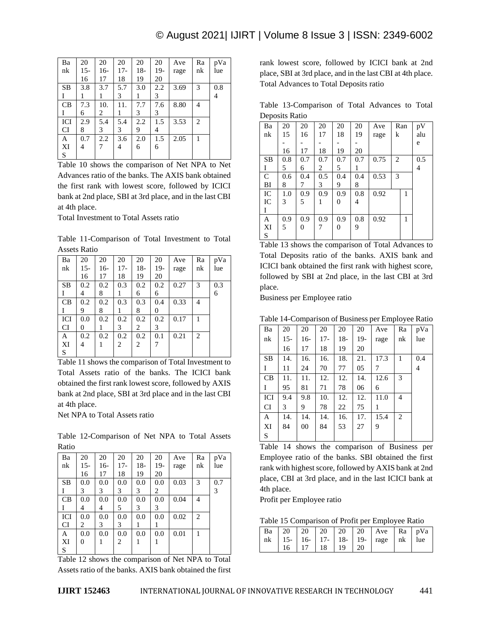| Ba        | 20    | 20  | 20    | 20    | 20  | Ave  | Ra | pVa |
|-----------|-------|-----|-------|-------|-----|------|----|-----|
| nk        | $15-$ | 16- | $17-$ | $18-$ | 19- | rage | nk | lue |
|           | 16    | 17  | 18    | 19    | 20  |      |    |     |
| <b>SB</b> | 3.8   | 3.7 | 5.7   | 3.0   | 2.2 | 3.69 | 3  | 0.8 |
|           |       |     | 3     |       | 3   |      |    | 4   |
| CB        | 7.3   | 10. | 11.   | 7.7   | 7.6 | 8.80 | 4  |     |
|           | 6     | 2   |       | 3     | 3   |      |    |     |
| ICI       | 2.9   | 5.4 | 5.4   | 2.2   | 1.5 | 3.53 | 2  |     |
| <b>CI</b> | 8     | 3   | 3     | 9     | 4   |      |    |     |
| A         | 0.7   | 2.2 | 3.6   | 2.0   | 1.5 | 2.05 | 1  |     |
| XI        | 4     |     | 4     | 6     | 6   |      |    |     |
| S         |       |     |       |       |     |      |    |     |

Table 10 shows the comparison of Net NPA to Net Advances ratio of the banks. The AXIS bank obtained the first rank with lowest score, followed by ICICI bank at 2nd place, SBI at 3rd place, and in the last CBI at 4th place.

Total Investment to Total Assets ratio

Table 11-Comparison of Total Investment to Total Assets Ratio

| Ba        | 20    | 20  | 20    | 20    | 20    | Ave  | Ra | pVa |
|-----------|-------|-----|-------|-------|-------|------|----|-----|
| nk        | $15-$ | 16- | $17-$ | $18-$ | $19-$ | rage | nk | lue |
|           | 16    | 17  | 18    | 19    | 20    |      |    |     |
| <b>SB</b> | 0.2   | 0.2 | 0.3   | 0.2   | 0.2   | 0.27 | 3  | 0.3 |
|           | 4     | 8   |       | 6     | 6     |      |    | 6   |
| CB        | 0.2   | 0.2 | 0.3   | 0.3   | 0.4   | 0.33 | 4  |     |
|           | 9     | 8   | 1     | 8     | 0     |      |    |     |
| ICI       | 0.0   | 0.2 | 0.2   | 0.2   | 0.2   | 0.17 |    |     |
| <b>CI</b> | 0     |     | 3     | 2     | 3     |      |    |     |
| A         | 0.2   | 0.2 | 0.2   | 0.2   | 0.1   | 0.21 | 2  |     |
| XI        | 4     |     | 2     | 2     | 7     |      |    |     |
| S         |       |     |       |       |       |      |    |     |

Table 11 shows the comparison of Total Investment to Total Assets ratio of the banks. The ICICI bank obtained the first rank lowest score, followed by AXIS bank at 2nd place, SBI at 3rd place and in the last CBI at 4th place.

Net NPA to Total Assets ratio

Table 12-Comparison of Net NPA to Total Assets Ratio

| Ba        | 20    | 20  | 20    | 20    | 20  | Ave  | Ra | pVa |
|-----------|-------|-----|-------|-------|-----|------|----|-----|
| nk        | $15-$ | 16- | $17-$ | $18-$ | 19- | rage | nk | lue |
|           | 16    | 17  | 18    | 19    | 20  |      |    |     |
| <b>SB</b> | 0.0   | 0.0 | 0.0   | 0.0   | 0.0 | 0.03 | 3  | 0.7 |
| I         | 3     | 3   | 3     | 3     | 2   |      |    | 3   |
| CB        | 0.0   | 0.0 | 0.0   | 0.0   | 0.0 | 0.04 | 4  |     |
| Ι         | 4     | 4   | 5     | 3     | 3   |      |    |     |
| ICI       | 0.0   | 0.0 | 0.0   | 0.0   | 0.0 | 0.02 | 2  |     |
| <b>CI</b> | 2     | 3   | 3     |       |     |      |    |     |
| A         | 0.0   | 0.0 | 0.0   | 0.0   | 0.0 | 0.01 | 1  |     |
| XI        | 0     |     | 2     |       |     |      |    |     |
| S         |       |     |       |       |     |      |    |     |

Table 12 shows the comparison of Net NPA to Total Assets ratio of the banks. AXIS bank obtained the first

rank lowest score, followed by ICICI bank at 2nd place, SBI at 3rd place, and in the last CBI at 4th place. Total Advances to Total Deposits ratio

Table 13-Comparison of Total Advances to Total Deposits Ratio

| $ -$          |     |     |     |     |     |      |   |     |     |
|---------------|-----|-----|-----|-----|-----|------|---|-----|-----|
| Ba            | 20  | 20  | 20  | 20  | 20  | Ave  |   | Ran | pV  |
| nk            | 15  | 16  | 17  | 18  | 19  | rage | k |     | alu |
|               |     |     |     |     |     |      |   |     | e   |
|               | 16  | 17  | 18  | 19  | 20  |      |   |     |     |
| <b>SB</b>     | 0.8 | 0.7 | 0.7 | 0.7 | 0.7 | 0.75 | 2 |     | 0.5 |
| I             | 5   | 6   | 2   | 5   | 1   |      |   |     | 4   |
| $\mathcal{C}$ | 0.6 | 0.4 | 0.5 | 0.4 | 0.4 | 0.53 | 3 |     |     |
| BI            | 8   | 7   | 3   | 9   | 8   |      |   |     |     |
| IC            | 1.0 | 0.9 | 0.9 | 0.9 | 0.8 | 0.92 |   | 1   |     |
| IC            | 3   | 5   | 1   | 0   | 4   |      |   |     |     |
| Ι             |     |     |     |     |     |      |   |     |     |
| A             | 0.9 | 0.9 | 0.9 | 0.9 | 0.8 | 0.92 |   | 1   |     |
| XI            | 5   | 0   | 7   | 0   | 9   |      |   |     |     |
| S             |     |     |     |     |     |      |   |     |     |

Table 13 shows the comparison of Total Advances to Total Deposits ratio of the banks. AXIS bank and ICICI bank obtained the first rank with highest score, followed by SBI at 2nd place, in the last CBI at 3rd place.

Business per Employee ratio

Table 14-Comparison of Business per Employee Ratio

|           |       | -−r    |       |       |     |      | -r - - -∕ |     |
|-----------|-------|--------|-------|-------|-----|------|-----------|-----|
| Ba        | 20    | 20     | 20    | 20    | 20  | Ave  | Ra        | pVa |
| nk        | $15-$ | $16-$  | $17-$ | $18-$ | 19- | rage | nk        | lue |
|           | 16    | 17     | 18    | 19    | 20  |      |           |     |
| <b>SB</b> | 14.   | 16.    | 16.   | 18.   | 21. | 17.3 | 1         | 0.4 |
| I         | 11    | 24     | 70    | 77    | 05  | 7    |           | 4   |
| CB        | 11.   | 11.    | 12.   | 12.   | 14. | 12.6 | 3         |     |
| I         | 95    | 81     | 71    | 78    | 06  | 6    |           |     |
| ICI       | 9.4   | 9.8    | 10.   | 12.   | 12. | 11.0 | 4         |     |
| CI        | 3     | 9      | 78    | 22    | 75  | 1    |           |     |
| A         | 14.   | 14.    | 14.   | 16.   | 17. | 15.4 | 2         |     |
| XI        | 84    | $00\,$ | 84    | 53    | 27  | 9    |           |     |
| S         |       |        |       |       |     |      |           |     |

Table 14 shows the comparison of Business per Employee ratio of the banks. SBI obtained the first rank with highest score, followed by AXIS bank at 2nd place, CBI at 3rd place, and in the last ICICI bank at 4th place.

Profit per Employee ratio

Table 15 Comparison of Profit per Employee Ratio

|    |               |  | nk   15 -   16 -   17 -   18 -   19 -   rage   nk   lue |  |
|----|---------------|--|---------------------------------------------------------|--|
| 16 | $17$ 18 19 20 |  |                                                         |  |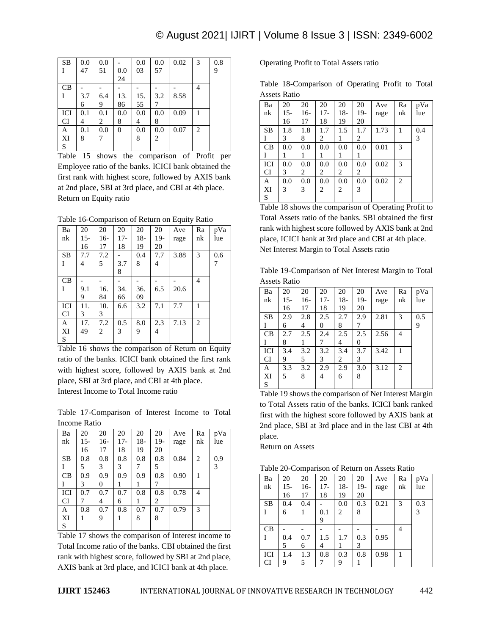| <b>SB</b> | 0.0 | 0.0 |          | 0.0 | 0.0            | 0.02 | 3 | 0.8 |
|-----------|-----|-----|----------|-----|----------------|------|---|-----|
|           | 47  | 51  | 0.0      | 03  | 57             |      |   | 9   |
|           |     |     | 24       |     |                |      |   |     |
| CB        |     |     |          |     |                |      | 4 |     |
|           | 3.7 | 6.4 | 13.      | 15. | 3.2            | 8.58 |   |     |
|           | 6   | 9   | 86       | 55  | 7              |      |   |     |
| ICI       | 0.1 | 0.1 | 0.0      | 0.0 | 0.0            | 0.09 |   |     |
| <b>CI</b> | 4   | 2   | 8        | 4   | 8              |      |   |     |
| A         | 0.1 | 0.0 | $\theta$ | 0.0 | 0.0            | 0.07 | 2 |     |
| XI        | 8   |     |          | 8   | $\overline{c}$ |      |   |     |
| S         |     |     |          |     |                |      |   |     |

Table 15 shows the comparison of Profit per Employee ratio of the banks. ICICI bank obtained the first rank with highest score, followed by AXIS bank at 2nd place, SBI at 3rd place, and CBI at 4th place. Return on Equity ratio

Table 16-Comparison of Return on Equity Ratio

| Ba        | 20    | 20    | 20    | 20    | 20    | Ave  | Ra             | pVa |
|-----------|-------|-------|-------|-------|-------|------|----------------|-----|
| nk        | $15-$ | $16-$ | $17-$ | $18-$ | $19-$ | rage | nk             | lue |
|           | 16    | 17    | 18    | 19    | 20    |      |                |     |
| <b>SB</b> | 7.7   | 7.2   |       | 0.4   | 7.7   | 3.88 | 3              | 0.6 |
| T         | 4     | 5     | 3.7   | 8     | 4     |      |                | 7   |
|           |       |       | 8     |       |       |      |                |     |
| CB        |       |       |       |       |       |      | $\overline{4}$ |     |
| I         | 9.1   | 16.   | 34.   | 36.   | 6.5   | 20.6 |                |     |
|           | 9     | 84    | 66    | 09    |       |      |                |     |
| ICI       | 11.   | 10.   | 6.6   | 3.2   | 7.1   | 7.7  | 1              |     |
| <b>CI</b> | 3     | 3     |       |       |       |      |                |     |
| A         | 17.   | 7.2   | 0.5   | 8.0   | 2.3   | 7.13 | 2              |     |
| XI        | 49    | 2     | 3     | 9     | 4     |      |                |     |
| S         |       |       |       |       |       |      |                |     |
|           |       |       |       |       |       |      |                |     |

Table 16 shows the comparison of Return on Equity ratio of the banks. ICICI bank obtained the first rank with highest score, followed by AXIS bank at 2nd place, SBI at 3rd place, and CBI at 4th place. Interest Income to Total Income ratio

Table 17-Comparison of Interest Income to Total Income Ratio

| Ba        | 20  | 20  | 20    | 20    | 20  | Ave  | Ra | pVa |
|-----------|-----|-----|-------|-------|-----|------|----|-----|
| nk        | 15- | 16- | $17-$ | $18-$ | 19- | rage | nk | lue |
|           | 16  | 17  | 18    | 19    | 20  |      |    |     |
| <b>SB</b> | 0.8 | 0.8 | 0.8   | 0.8   | 0.8 | 0.84 | 2  | 0.9 |
|           | 5   | 3   | 3     | 7     | 5   |      |    | 3   |
| CB        | 0.9 | 0.9 | 0.9   | 0.9   | 0.8 | 0.90 | 1  |     |
|           | 3   | 0   |       | 1     | 7   |      |    |     |
| ICI       | 0.7 | 0.7 | 0.7   | 0.8   | 0.8 | 0.78 | 4  |     |
| CI        |     | 4   | 6     |       | 2   |      |    |     |
| A         | 0.8 | 0.7 | 0.8   | 0.7   | 0.7 | 0.79 | 3  |     |
| XI        |     | 9   |       | 8     | 8   |      |    |     |
| S         |     |     |       |       |     |      |    |     |

Table 17 shows the comparison of Interest income to Total Income ratio of the banks. CBI obtained the first rank with highest score, followed by SBI at 2nd place, AXIS bank at 3rd place, and ICICI bank at 4th place.

# Operating Profit to Total Assets ratio

Table 18-Comparison of Operating Profit to Total Assets Ratio

| Ba        | 20    | 20  | 20    | 20    | 20    | Ave  | Ra | pVa |
|-----------|-------|-----|-------|-------|-------|------|----|-----|
| nk        | $15-$ | 16- | $17-$ | $18-$ | $19-$ | rage | nk | lue |
|           | 16    | 17  | 18    | 19    | 20    |      |    |     |
| <b>SB</b> | 1.8   | 1.8 | 1.7   | 1.5   | 1.7   | 1.73 | 1  | 0.4 |
| Ι         | 3     | 8   | 2     | 1     | 2     |      |    | 3   |
| CB        | 0.0   | 0.0 | 0.0   | 0.0   | 0.0   | 0.01 | 3  |     |
| Ι         |       | 1   | I     | 1     | l     |      |    |     |
| ICI       | 0.0   | 0.0 | 0.0   | 0.0   | 0.0   | 0.02 | 3  |     |
| <b>CI</b> | 3     | 2   | 2     | 2     | 2     |      |    |     |
| A         | 0.0   | 0.0 | 0.0   | 0.0   | 0.0   | 0.02 | 2  |     |
| XI        | 3     | 3   | 2     | 2     | 3     |      |    |     |
| S         |       |     |       |       |       |      |    |     |

Table 18 shows the comparison of Operating Profit to Total Assets ratio of the banks. SBI obtained the first rank with highest score followed by AXIS bank at 2nd place, ICICI bank at 3rd place and CBI at 4th place. Net Interest Margin to Total Assets ratio

Table 19-Comparison of Net Interest Margin to Total Assets Ratio

| Ba  | 20    | 20    | 20    | 20    | 20  | Ave  | Ra | pVa |
|-----|-------|-------|-------|-------|-----|------|----|-----|
| nk  | $15-$ | $16-$ | $17-$ | $18-$ | 19- | rage | nk | lue |
|     | 16    | 17    | 18    | 19    | 20  |      |    |     |
| SB  | 2.9   | 2.8   | 2.5   | 2.7   | 2.9 | 2.81 | 3  | 0.5 |
| Ι   | 6     | 4     | 0     | 8     | 7   |      |    | 9   |
| CB  | 2.7   | 2.5   | 2.4   | 2.5   | 2.5 | 2.56 | 4  |     |
| Ι   | 8     |       | 7     | 4     | 0   |      |    |     |
| ICI | 3.4   | 3.2   | 3.2   | 3.4   | 3.7 | 3.42 |    |     |
| CI  | 9     | 5     | 3     | 2     | 3   |      |    |     |
| A   | 3.3   | 3.2   | 2.9   | 2.9   | 3.0 | 3.12 | 2  |     |
|     |       |       |       |       |     |      |    |     |
| XI  | 5     | 8     | 4     | 6     | 8   |      |    |     |

Table 19 shows the comparison of Net Interest Margin to Total Assets ratio of the banks. ICICI bank ranked first with the highest score followed by AXIS bank at 2nd place, SBI at 3rd place and in the last CBI at 4th place.

Return on Assets

Table 20-Comparison of Return on Assets Ratio

| Ba        | 20    | 20    | 20    | 20  | 20    | Ave  | Ra | pVa |
|-----------|-------|-------|-------|-----|-------|------|----|-----|
| nk        | $15-$ | $16-$ | $17-$ | 18- | $19-$ | rage | nk | lue |
|           | 16    | 17    | 18    | 19  | 20    |      |    |     |
| <b>SB</b> | 0.4   | 0.4   |       | 0.0 | 0.3   | 0.21 | 3  | 0.3 |
|           | 6     | 1     | 0.1   | 2   | 8     |      |    | 3   |
|           |       |       | 9     |     |       |      |    |     |
| CB        |       |       |       |     |       |      | 4  |     |
|           | 0.4   | 0.7   | 1.5   | 1.7 | 0.3   | 0.95 |    |     |
|           | 5     | 6     | 4     |     | 3     |      |    |     |
| ICI       | 1.4   | 1.3   | 0.8   | 0.3 | 0.8   | 0.98 | 1  |     |
| CI        | 9     | 5     |       | 9   |       |      |    |     |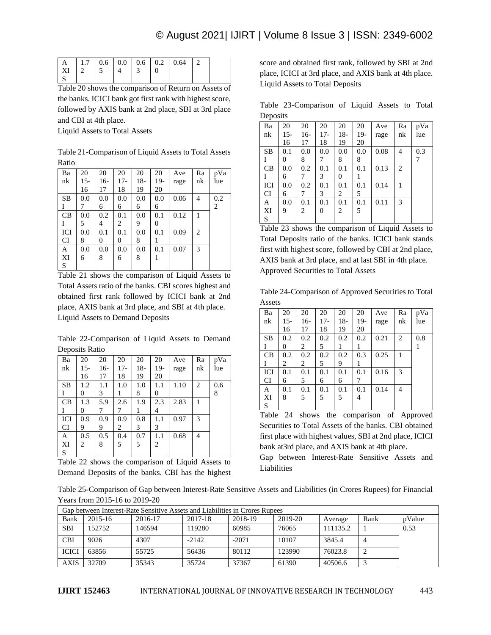| $A$   1.7   0.6   0.0   0.6   0.2   0.64   2<br>$\mid$ XI $\mid$ 2 |  |  |  |  |  |  |  |
|--------------------------------------------------------------------|--|--|--|--|--|--|--|
|--------------------------------------------------------------------|--|--|--|--|--|--|--|

Table 20 shows the comparison of Return on Assets of the banks. ICICI bank got first rank with highest score, followed by AXIS bank at 2nd place, SBI at 3rd place and CBI at 4th place.

Liquid Assets to Total Assets

Table 21-Comparison of Liquid Assets to Total Assets Ratio

| Ba        | 20    | 20  | 20    | 20    | 20    | Ave  | Ra             | pVa |
|-----------|-------|-----|-------|-------|-------|------|----------------|-----|
| nk        | $15-$ | 16- | $17-$ | $18-$ | $19-$ | rage | nk             | lue |
|           | 16    | 17  | 18    | 19    | 20    |      |                |     |
| <b>SB</b> | 0.0   | 0.0 | 0.0   | 0.0   | 0.0   | 0.06 | $\overline{4}$ | 0.2 |
|           |       | 6   | 6     | 6     | 6     |      |                | 2   |
| CB        | 0.0   | 0.2 | 0.1   | 0.0   | 0.1   | 0.12 | 1              |     |
|           | 5     | 4   | 2     | 9     | 0     |      |                |     |
| ICI       | 0.0   | 0.1 | 0.1   | 0.0   | 0.1   | 0.09 | 2              |     |
| CI        | 8     | 0   | 0     | 8     | 1     |      |                |     |
| A         | 0.0   | 0.0 | 0.0   | 0.0   | 0.1   | 0.07 | 3              |     |
| XI        | 6     | 8   | 6     | 8     | 1     |      |                |     |
| S         |       |     |       |       |       |      |                |     |

Table 21 shows the comparison of Liquid Assets to Total Assets ratio of the banks. CBI scores highest and obtained first rank followed by ICICI bank at 2nd place, AXIS bank at 3rd place, and SBI at 4th place. Liquid Assets to Demand Deposits

Table 22-Comparison of Liquid Assets to Demand Deposits Ratio

| Ba        | 20  | 20  | 20    | 20  | 20  | Ave  | Ra             | pVa |
|-----------|-----|-----|-------|-----|-----|------|----------------|-----|
| nk        | 15- | 16- | $17-$ | 18- | 19- | rage | nk             | lue |
|           | 16  | 17  | 18    | 19  | 20  |      |                |     |
| <b>SB</b> | 1.2 | 1.1 | 1.0   | 1.0 | 1.1 | 1.10 | 2              | 0.6 |
|           | 0   | 3   | 1     | 8   | 0   |      |                | 8   |
| CB        | 1.3 | 5.9 | 2.6   | 1.9 | 2.3 | 2.83 |                |     |
|           | 0   | 7   | 7     | 1   | 4   |      |                |     |
| ICI       | 0.9 | 0.9 | 0.9   | 0.8 |     |      |                |     |
|           |     |     |       |     | 1.1 | 0.97 | 3              |     |
| CI        | 9   | 9   | 2     | 3   | 3   |      |                |     |
| A         | 0.5 | 0.5 | 0.4   | 0.7 | 1.1 | 0.68 | $\overline{4}$ |     |
| XI        | 2   | 8   | 5     | 5   | 2   |      |                |     |

Table 22 shows the comparison of Liquid Assets to Demand Deposits of the banks. CBI has the highest

score and obtained first rank, followed by SBI at 2nd place, ICICI at 3rd place, and AXIS bank at 4th place. Liquid Assets to Total Deposits

Table 23-Comparison of Liquid Assets to Total **Deposits** 

| . .       |       |     |       |       |       |      |                |     |
|-----------|-------|-----|-------|-------|-------|------|----------------|-----|
| Ba        | 20    | 20  | 20    | 20    | 20    | Ave  | Ra             | pVa |
| nk        | $15-$ | 16- | $17-$ | $18-$ | $19-$ | rage | nk             | lue |
|           | 16    | 17  | 18    | 19    | 20    |      |                |     |
| <b>SB</b> | 0.1   | 0.0 | 0.0   | 0.0   | 0.0   | 0.08 | 4              | 0.3 |
|           | 0     | 8   | 7     | 8     | 8     |      |                | 7   |
| CB        | 0.0   | 0.2 | 0.1   | 0.1   | 0.1   | 0.13 | $\overline{2}$ |     |
|           | 6     | 7   | 3     | 0     | 1     |      |                |     |
| ICI       | 0.0   | 0.2 | 0.1   | 0.1   | 0.1   | 0.14 | 1              |     |
| CI        | 6     | 7   | 3     | 2     | 5     |      |                |     |
| A         | 0.0   | 0.1 | 0.1   | 0.1   | 0.1   | 0.11 | 3              |     |
| XI        | 9     | 2   | 0     | 2     | 5     |      |                |     |
| S         |       |     |       |       |       |      |                |     |

Table 23 shows the comparison of Liquid Assets to Total Deposits ratio of the banks. ICICI bank stands first with highest score, followed by CBI at 2nd place, AXIS bank at 3rd place, and at last SBI in 4th place. Approved Securities to Total Assets

Table 24-Comparison of Approved Securities to Total Assets

| Ba        | 20    | 20    | 20    | 20    | 20  | Ave  | Ra | pVa |
|-----------|-------|-------|-------|-------|-----|------|----|-----|
| nk        | $15-$ | $16-$ | $17-$ | $18-$ | 19- | rage | nk | lue |
|           | 16    | 17    | 18    | 19    | 20  |      |    |     |
| <b>SB</b> | 0.2   | 0.2   | 0.2   | 0.2   | 0.2 | 0.21 | 2  | 0.8 |
|           | 0     | 2     | 5     |       |     |      |    | 1   |
| CB        | 0.2   | 0.2   | 0.2   | 0.2   | 0.3 | 0.25 | 1  |     |
|           | 2     | 2     | 5     | 9     |     |      |    |     |
| ICI       | 0.1   | 0.1   | 0.1   | 0.1   | 0.1 | 0.16 | 3  |     |
| <b>CI</b> | 6     | 5     | 6     | 6     |     |      |    |     |
| A         | 0.1   | 0.1   | 0.1   | 0.1   | 0.1 | 0.14 | 4  |     |
| XI        | 8     | 5     | 5     | 5     | 4   |      |    |     |
| S         |       |       |       |       |     |      |    |     |

Table 24 shows the comparison of Approved Securities to Total Assets of the banks. CBI obtained first place with highest values, SBI at 2nd place, ICICI bank at3rd place, and AXIS bank at 4th place.

Gap between Interest-Rate Sensitive Assets and Liabilities

Table 25-Comparison of Gap between Interest-Rate Sensitive Assets and Liabilities (in Crores Rupees) for Financial Years from 2015-16 to 2019-20

| Gap between Interest-Rate Sensitive Assets and Liabilities in Crores Rupees |         |         |         |         |         |          |      |        |  |
|-----------------------------------------------------------------------------|---------|---------|---------|---------|---------|----------|------|--------|--|
| Bank                                                                        | 2015-16 | 2016-17 | 2017-18 | 2018-19 | 2019-20 | Average  | Rank | pValue |  |
| <b>SBI</b>                                                                  | 152752  | 146594  | 119280  | 60985   | 76065   | 111135.2 |      | 0.53   |  |
| <b>CBI</b>                                                                  | 9026    | 4307    | $-2142$ | $-2071$ | 10107   | 3845.4   |      |        |  |
| <b>ICICI</b>                                                                | 63856   | 55725   | 56436   | 80112   | 123990  | 76023.8  | ↵    |        |  |
| <b>AXIS</b>                                                                 | 32709   | 35343   | 35724   | 37367   | 61390   | 40506.6  |      |        |  |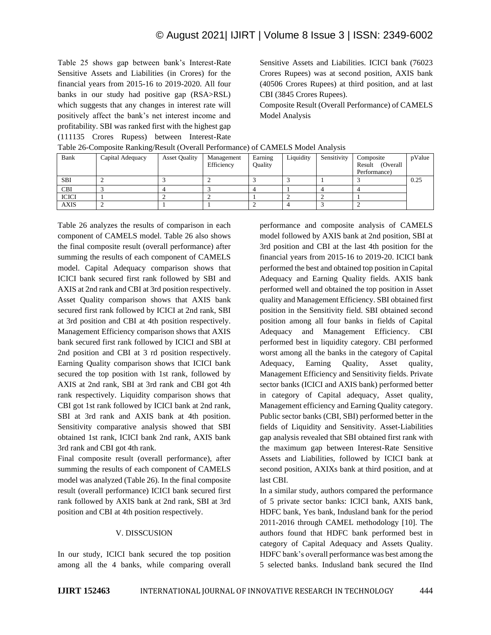Table 25 shows gap between bank's Interest-Rate Sensitive Assets and Liabilities (in Crores) for the financial years from 2015-16 to 2019-2020. All four banks in our study had positive gap (RSA>RSL) which suggests that any changes in interest rate will positively affect the bank's net interest income and profitability. SBI was ranked first with the highest gap (111135 Crores Rupess) between Interest-Rate Sensitive Assets and Liabilities. ICICI bank (76023 Crores Rupees) was at second position, AXIS bank (40506 Crores Rupees) at third position, and at last CBI (3845 Crores Rupees).

Composite Result (Overall Performance) of CAMELS Model Analysis

|              | Tuble 20 Composite Rumang/Result (O Ferum Performance) of Criminal Broach Plant For |                      |                          |                    |           |             |                                                  |        |  |  |  |
|--------------|-------------------------------------------------------------------------------------|----------------------|--------------------------|--------------------|-----------|-------------|--------------------------------------------------|--------|--|--|--|
| Bank         | Capital Adequacy                                                                    | <b>Asset Quality</b> | Management<br>Efficiency | Earning<br>Ouality | Liquidity | Sensitivity | Composite<br>(Overall)<br>Result<br>Performance) | pValue |  |  |  |
| <b>SBI</b>   |                                                                                     |                      |                          |                    |           |             |                                                  | 0.25   |  |  |  |
| <b>CBI</b>   |                                                                                     |                      |                          |                    |           |             |                                                  |        |  |  |  |
| <b>ICICI</b> |                                                                                     |                      |                          |                    |           |             |                                                  |        |  |  |  |
| <b>AXIS</b>  |                                                                                     |                      |                          |                    |           |             |                                                  |        |  |  |  |

Table 26-Composite Ranking/Result (Overall Performance) of CAMELS Model Analysis

Table 26 analyzes the results of comparison in each component of CAMELS model. Table 26 also shows the final composite result (overall performance) after summing the results of each component of CAMELS model. Capital Adequacy comparison shows that ICICI bank secured first rank followed by SBI and AXIS at 2nd rank and CBI at 3rd position respectively. Asset Quality comparison shows that AXIS bank secured first rank followed by ICICI at 2nd rank, SBI at 3rd position and CBI at 4th position respectively. Management Efficiency comparison shows that AXIS bank secured first rank followed by ICICI and SBI at 2nd position and CBI at 3 rd position respectively. Earning Quality comparison shows that ICICI bank secured the top position with 1st rank, followed by AXIS at 2nd rank, SBI at 3rd rank and CBI got 4th rank respectively. Liquidity comparison shows that CBI got 1st rank followed by ICICI bank at 2nd rank, SBI at 3rd rank and AXIS bank at 4th position. Sensitivity comparative analysis showed that SBI obtained 1st rank, ICICI bank 2nd rank, AXIS bank 3rd rank and CBI got 4th rank.

Final composite result (overall performance), after summing the results of each component of CAMELS model was analyzed (Table 26). In the final composite result (overall performance) ICICI bank secured first rank followed by AXIS bank at 2nd rank, SBI at 3rd position and CBI at 4th position respectively.

# V. DISSCUSION

In our study, ICICI bank secured the top position among all the 4 banks, while comparing overall performance and composite analysis of CAMELS model followed by AXIS bank at 2nd position, SBI at 3rd position and CBI at the last 4th position for the financial years from 2015-16 to 2019-20. ICICI bank performed the best and obtained top position in Capital Adequacy and Earning Quality fields. AXIS bank performed well and obtained the top position in Asset quality and Management Efficiency. SBI obtained first position in the Sensitivity field. SBI obtained second position among all four banks in fields of Capital Adequacy and Management Efficiency. CBI performed best in liquidity category. CBI performed worst among all the banks in the category of Capital Adequacy, Earning Quality, Asset quality, Management Efficiency and Sensitivity fields. Private sector banks (ICICI and AXIS bank) performed better in category of Capital adequacy, Asset quality, Management efficiency and Earning Quality category. Public sector banks (CBI, SBI) performed better in the fields of Liquidity and Sensitivity. Asset-Liabilities gap analysis revealed that SBI obtained first rank with the maximum gap between Interest-Rate Sensitive Assets and Liabilities, followed by ICICI bank at second position, AXIXs bank at third position, and at last CBI.

In a similar study, authors compared the performance of 5 private sector banks: ICICI bank, AXIS bank, HDFC bank, Yes bank, Indusland bank for the period 2011-2016 through CAMEL methodology [10]. The authors found that HDFC bank performed best in category of Capital Adequacy and Assets Quality. HDFC bank's overall performance was best among the 5 selected banks. Indusland bank secured the IInd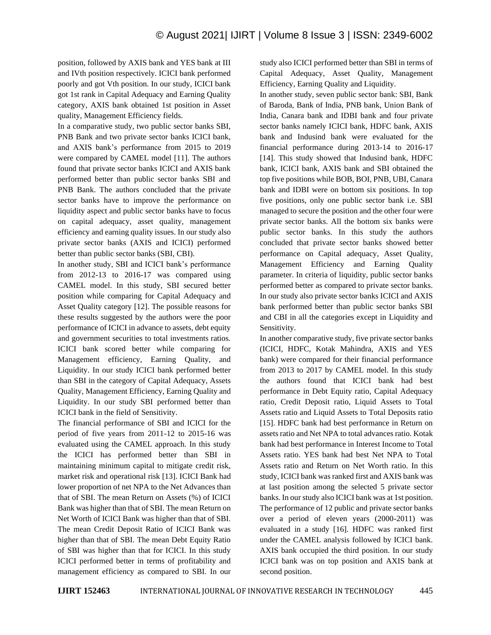position, followed by AXIS bank and YES bank at III and IVth position respectively. ICICI bank performed poorly and got Vth position. In our study, ICICI bank got 1st rank in Capital Adequacy and Earning Quality category, AXIS bank obtained 1st position in Asset quality, Management Efficiency fields.

In a comparative study, two public sector banks SBI, PNB Bank and two private sector banks ICICI bank, and AXIS bank's performance from 2015 to 2019 were compared by CAMEL model [11]. The authors found that private sector banks ICICI and AXIS bank performed better than public sector banks SBI and PNB Bank. The authors concluded that the private sector banks have to improve the performance on liquidity aspect and public sector banks have to focus on capital adequacy, asset quality, management efficiency and earning quality issues. In our study also private sector banks (AXIS and ICICI) performed better than public sector banks (SBI, CBI).

In another study, SBI and ICICI bank's performance from 2012-13 to 2016-17 was compared using CAMEL model. In this study, SBI secured better position while comparing for Capital Adequacy and Asset Quality category [12]. The possible reasons for these results suggested by the authors were the poor performance of ICICI in advance to assets, debt equity and government securities to total investments ratios. ICICI bank scored better while comparing for Management efficiency, Earning Quality, and Liquidity. In our study ICICI bank performed better than SBI in the category of Capital Adequacy, Assets Quality, Management Efficiency, Earning Quality and Liquidity. In our study SBI performed better than ICICI bank in the field of Sensitivity.

The financial performance of SBI and ICICI for the period of five years from 2011-12 to 2015-16 was evaluated using the CAMEL approach. In this study the ICICI has performed better than SBI in maintaining minimum capital to mitigate credit risk, market risk and operational risk [13]. ICICI Bank had lower proportion of net NPA to the Net Advances than that of SBI. The mean Return on Assets (%) of ICICI Bank was higher than that of SBI. The mean Return on Net Worth of ICICI Bank was higher than that of SBI. The mean Credit Deposit Ratio of ICICI Bank was higher than that of SBI. The mean Debt Equity Ratio of SBI was higher than that for ICICI. In this study ICICI performed better in terms of profitability and management efficiency as compared to SBI. In our study also ICICI performed better than SBI in terms of Capital Adequacy, Asset Quality, Management Efficiency, Earning Quality and Liquidity.

In another study, seven public sector bank: SBI, Bank of Baroda, Bank of India, PNB bank, Union Bank of India, Canara bank and IDBI bank and four private sector banks namely ICICI bank, HDFC bank, AXIS bank and Indusind bank were evaluated for the financial performance during 2013-14 to 2016-17 [14]. This study showed that Indusind bank, HDFC bank, ICICI bank, AXIS bank and SBI obtained the top five positions while BOB, BOI, PNB, UBI, Canara bank and IDBI were on bottom six positions. In top five positions, only one public sector bank i.e. SBI managed to secure the position and the other four were private sector banks. All the bottom six banks were public sector banks. In this study the authors concluded that private sector banks showed better performance on Capital adequacy, Asset Quality, Management Efficiency and Earning Quality parameter. In criteria of liquidity, public sector banks performed better as compared to private sector banks. In our study also private sector banks ICICI and AXIS bank performed better than public sector banks SBI and CBI in all the categories except in Liquidity and Sensitivity.

In another comparative study, five private sector banks (ICICI, HDFC, Kotak Mahindra, AXIS and YES bank) were compared for their financial performance from 2013 to 2017 by CAMEL model. In this study the authors found that ICICI bank had best performance in Debt Equity ratio, Capital Adequacy ratio, Credit Deposit ratio, Liquid Assets to Total Assets ratio and Liquid Assets to Total Deposits ratio [15]. HDFC bank had best performance in Return on assets ratio and Net NPA to total advances ratio. Kotak bank had best performance in Interest Income to Total Assets ratio. YES bank had best Net NPA to Total Assets ratio and Return on Net Worth ratio. In this study, ICICI bank was ranked first and AXIS bank was at last position among the selected 5 private sector banks. In our study also ICICI bank was at 1st position. The performance of 12 public and private sector banks over a period of eleven years (2000-2011) was evaluated in a study [16]. HDFC was ranked first under the CAMEL analysis followed by ICICI bank. AXIS bank occupied the third position. In our study ICICI bank was on top position and AXIS bank at second position.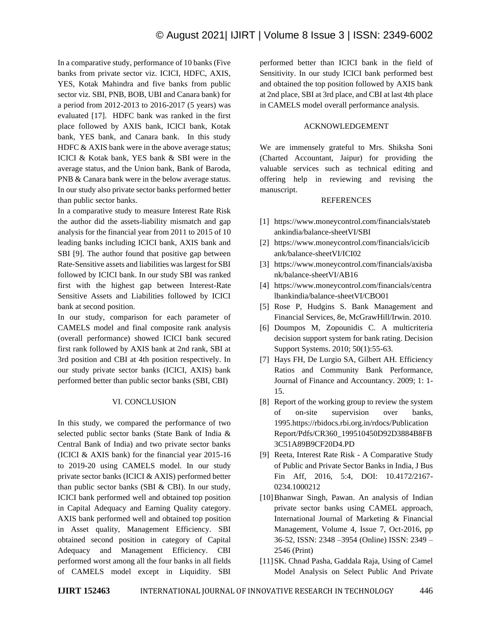In a comparative study, performance of 10 banks (Five banks from private sector viz. ICICI, HDFC, AXIS, YES, Kotak Mahindra and five banks from public sector viz. SBI, PNB, BOB, UBI and Canara bank) for a period from 2012-2013 to 2016-2017 (5 years) was evaluated [17]. HDFC bank was ranked in the first place followed by AXIS bank, ICICI bank, Kotak bank, YES bank, and Canara bank. In this study HDFC & AXIS bank were in the above average status; ICICI & Kotak bank, YES bank & SBI were in the average status, and the Union bank, Bank of Baroda, PNB & Canara bank were in the below average status. In our study also private sector banks performed better than public sector banks.

In a comparative study to measure Interest Rate Risk the author did the assets-liability mismatch and gap analysis for the financial year from 2011 to 2015 of 10 leading banks including ICICI bank, AXIS bank and SBI [9]. The author found that positive gap between Rate-Sensitive assets and liabilities was largest for SBI followed by ICICI bank. In our study SBI was ranked first with the highest gap between Interest-Rate Sensitive Assets and Liabilities followed by ICICI bank at second position.

In our study, comparison for each parameter of CAMELS model and final composite rank analysis (overall performance) showed ICICI bank secured first rank followed by AXIS bank at 2nd rank, SBI at 3rd position and CBI at 4th position respectively. In our study private sector banks (ICICI, AXIS) bank performed better than public sector banks (SBI, CBI)

# VI. CONCLUSION

In this study, we compared the performance of two selected public sector banks (State Bank of India & Central Bank of India) and two private sector banks (ICICI & AXIS bank) for the financial year 2015-16 to 2019-20 using CAMELS model. In our study private sector banks (ICICI & AXIS) performed better than public sector banks (SBI  $& CBI$ ). In our study, ICICI bank performed well and obtained top position in Capital Adequacy and Earning Quality category. AXIS bank performed well and obtained top position in Asset quality, Management Efficiency. SBI obtained second position in category of Capital Adequacy and Management Efficiency. CBI performed worst among all the four banks in all fields of CAMELS model except in Liquidity. SBI

performed better than ICICI bank in the field of Sensitivity. In our study ICICI bank performed best and obtained the top position followed by AXIS bank at 2nd place, SBI at 3rd place, and CBI at last 4th place in CAMELS model overall performance analysis.

#### ACKNOWLEDGEMENT

We are immensely grateful to Mrs. Shiksha Soni (Charted Accountant, Jaipur) for providing the valuable services such as technical editing and offering help in reviewing and revising the manuscript.

#### REFERENCES

- [1] https://www.moneycontrol.com/financials/stateb ankindia/balance-sheetVI/SBI
- [2] https://www.moneycontrol.com/financials/icicib ank/balance-sheetVI/ICI02
- [3] https://www.moneycontrol.com/financials/axisba nk/balance-sheetVI/AB16
- [4] https://www.moneycontrol.com/financials/centra lbankindia/balance-sheetVI/CBO01
- [5] Rose P, Hudgins S. Bank Management and Financial Services, 8e, McGrawHill/Irwin. 2010.
- [6] Doumpos M, Zopounidis C. A multicriteria decision support system for bank rating. Decision Support Systems. 2010; 50(1):55-63.
- [7] Hays FH, De Lurgio SA, Gilbert AH. Efficiency Ratios and Community Bank Performance, Journal of Finance and Accountancy. 2009; 1: 1- 15.
- [8] Report of the working group to review the system of on-site supervision over banks, 1995.https://rbidocs.rbi.org.in/rdocs/Publication Report/Pdfs/CR360\_199510450D92D3884B8FB 3C51A89B9CF20D4.PD
- [9] Reeta, Interest Rate Risk A Comparative Study of Public and Private Sector Banks in India, J Bus Fin Aff, 2016, 5:4, DOI: 10.4172/2167- 0234.1000212
- [10]Bhanwar Singh, Pawan. An analysis of Indian private sector banks using CAMEL approach, International Journal of Marketing & Financial Management, Volume 4, Issue 7, Oct-2016, pp 36-52, ISSN: 2348 –3954 (Online) ISSN: 2349 – 2546 (Print)
- [11] SK. Chnad Pasha, Gaddala Raja, Using of Camel Model Analysis on Select Public And Private